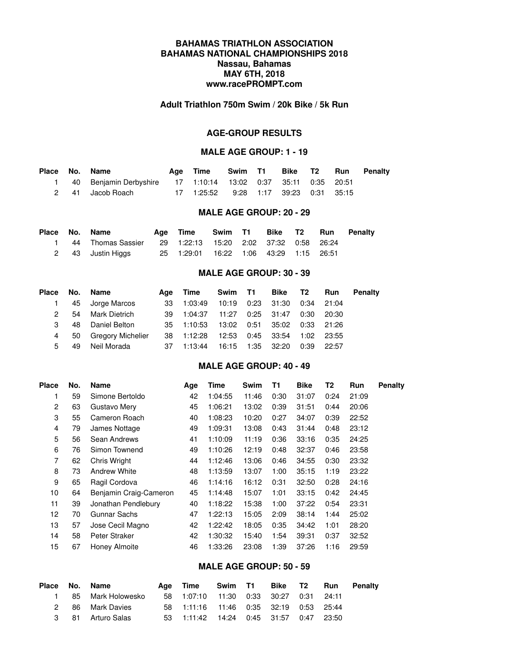# **BAHAMAS TRIATHLON ASSOCIATION BAHAMAS NATIONAL CHAMPIONSHIPS 2018 Nassau, Bahamas MAY 6TH, 2018 www.racePROMPT.com**

#### **Adult Triathlon 750m Swim / 20k Bike / 5k Run**

## **AGE-GROUP RESULTS**

#### **MALE AGE GROUP: 1 - 19**

|  | Place No. Name                                                  | Aae Time                              |  |  | Swim T1 Bike T2 Run Penalty |
|--|-----------------------------------------------------------------|---------------------------------------|--|--|-----------------------------|
|  | 1 40 Benjamin Derbyshire 17 1:10:14 13:02 0:37 35:11 0:35 20:51 |                                       |  |  |                             |
|  | 2 41 Jacob Roach                                                | 17 1:25:52 9:28 1:17 39:23 0:31 35:15 |  |  |                             |

## **MALE AGE GROUP: 20 - 29**

| Place No. Name |                                                            |                                        |  |  | Age Time Swim T1 Bike T2 Run Penalty |
|----------------|------------------------------------------------------------|----------------------------------------|--|--|--------------------------------------|
|                | 1 44 Thomas Sassier 29 1:22:13 15:20 2:02 37:32 0:58 26:24 |                                        |  |  |                                      |
|                | 2 43 Justin Higgs                                          | 25 1:29:01 16:22 1:06 43:29 1:15 26:51 |  |  |                                      |

#### **MALE AGE GROUP: 30 - 39**

| Place |    | No. Name          |    | Age Time   |       | Swim T1 Bike T2    |      | Run        | Penalty |
|-------|----|-------------------|----|------------|-------|--------------------|------|------------|---------|
|       |    | 45 Jorge Marcos   | 33 | 1:03:49    |       | 10:19  0:23  31:30 |      | 0:34 21:04 |         |
| 2     | 54 | Mark Dietrich     |    | 39 1:04:37 | 11:27 | 0:25 31:47         | 0:30 | 20:30      |         |
| 3     | 48 | Daniel Belton     |    | 35 1:10:53 |       |                    |      | 0:33 21:26 |         |
| 4     | 50 | Gregory Michelier |    | 38 1:12:28 | 12:53 | 0:45 33:54         | 1:02 | - 23:55    |         |
| 5     | 49 | Neil Morada       | 37 | 1:13:44    |       | 16:15 1:35 32:20   | 0:39 | 22:57      |         |

# **MALE AGE GROUP: 40 - 49**

| <b>Place</b> | No. | <b>Name</b>            | Age | Time    | Swim  | Τ1   | <b>Bike</b> | T2   | Run   | Penalty |
|--------------|-----|------------------------|-----|---------|-------|------|-------------|------|-------|---------|
| 1            | 59  | Simone Bertoldo        | 42  | 1:04:55 | 11:46 | 0:30 | 31:07       | 0:24 | 21:09 |         |
| 2            | 63  | Gustavo Mery           | 45  | 1:06:21 | 13:02 | 0:39 | 31:51       | 0:44 | 20:06 |         |
| 3            | 55  | Cameron Roach          | 40  | 1:08:23 | 10:20 | 0:27 | 34:07       | 0:39 | 22:52 |         |
| 4            | 79  | James Nottage          | 49  | 1:09:31 | 13:08 | 0:43 | 31:44       | 0:48 | 23:12 |         |
| 5            | 56  | Sean Andrews           | 41  | 1:10:09 | 11:19 | 0:36 | 33:16       | 0:35 | 24:25 |         |
| 6            | 76  | Simon Townend          | 49  | 1:10:26 | 12:19 | 0:48 | 32:37       | 0:46 | 23:58 |         |
| 7            | 62  | <b>Chris Wright</b>    | 44  | 1:12:46 | 13:06 | 0:46 | 34:55       | 0:30 | 23:32 |         |
| 8            | 73  | <b>Andrew White</b>    | 48  | 1:13:59 | 13:07 | 1:00 | 35:15       | 1:19 | 23:22 |         |
| 9            | 65  | Ragil Cordova          | 46  | 1:14:16 | 16:12 | 0:31 | 32:50       | 0:28 | 24:16 |         |
| 10           | 64  | Benjamin Craig-Cameron | 45  | 1:14:48 | 15:07 | 1:01 | 33:15       | 0:42 | 24:45 |         |
| 11           | 39  | Jonathan Pendlebury    | 40  | 1:18:22 | 15:38 | 1:00 | 37:22       | 0:54 | 23:31 |         |
| 12           | 70  | Gunnar Sachs           | 47  | 1:22:13 | 15:05 | 2:09 | 38:14       | 1:44 | 25:02 |         |
| 13           | 57  | Jose Cecil Magno       | 42  | 1:22:42 | 18:05 | 0:35 | 34:42       | 1:01 | 28:20 |         |
| 14           | 58  | Peter Straker          | 42  | 1:30:32 | 15:40 | 1:54 | 39:31       | 0:37 | 32:52 |         |
| 15           | 67  | Honey Almoite          | 46  | 1:33:26 | 23:08 | 1:39 | 37:26       | 1:16 | 29:59 |         |
|              |     |                        |     |         |       |      |             |      |       |         |

## **MALE AGE GROUP: 50 - 59**

|  | Place No. Name      | Age Time Swim T1 Bike T2 Run Penalty                     |  |  |  |
|--|---------------------|----------------------------------------------------------|--|--|--|
|  | 1 85 Mark Holowesko | 58    1:07:10    11:30    0:33    30:27    0:31    24:11 |  |  |  |
|  | 2 86 Mark Davies    | 58 1:11:16 11:46 0:35 32:19 0:53 25:44                   |  |  |  |
|  | 3 81 Arturo Salas   | 53 1:11:42 14:24 0:45 31:57 0:47 23:50                   |  |  |  |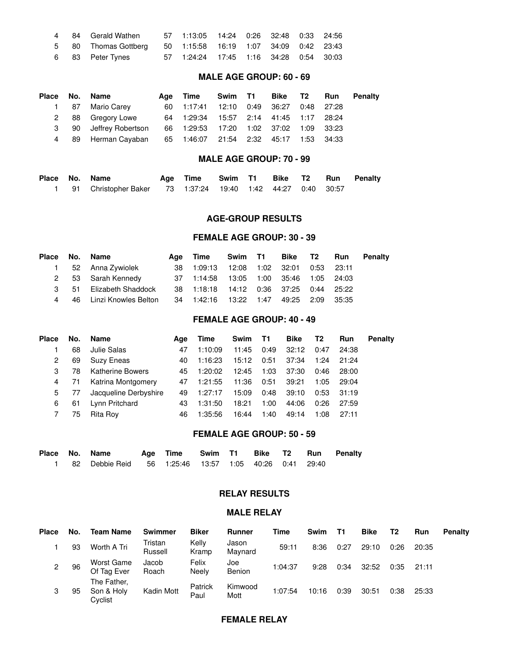|  | 4 84 Gerald Wathen                                          | 57  1:13:05  14:24  0:26  32:48  0:33  24:56 |  |  |  |
|--|-------------------------------------------------------------|----------------------------------------------|--|--|--|
|  | 5 80 Thomas Gottberg 50 1:15:58 16:19 1:07 34:09 0:42 23:43 |                                              |  |  |  |
|  | 6 83 Peter Tynes 57 1:24:24 17:45 1:16 34:28 0:54 30:03     |                                              |  |  |  |

# **MALE AGE GROUP: 60 - 69**

| Place No. Name |                      | Age Time                               | Swim T1                         | Bike T2 |  | <b>Run</b> Penalty |
|----------------|----------------------|----------------------------------------|---------------------------------|---------|--|--------------------|
|                | 1 87 Mario Carey     | 60 1:17:41 12:10 0:49 36:27 0:48 27:28 |                                 |         |  |                    |
|                | 2 88 Gregory Lowe    | 64 1:29:34                             | 15:57  2:14  41:45  1:17  28:24 |         |  |                    |
| 3              | 90 Jeffrey Robertson | 66 1:29:53 17:20 1:02 37:02 1:09 33:23 |                                 |         |  |                    |
|                | 4 89 Herman Cayaban  | 65 1:46:07 21:54 2:32 45:17 1:53 34:33 |                                 |         |  |                    |

#### **MALE AGE GROUP: 70 - 99**

| Place No. Name |                                                               | Age Time Swim T1 Bike T2 Run Penalty |  |  |  |
|----------------|---------------------------------------------------------------|--------------------------------------|--|--|--|
|                | 1 91 Christopher Baker 73 1:37:24 19:40 1:42 44:27 0:40 30:57 |                                      |  |  |  |

#### **AGE-GROUP RESULTS**

#### **FEMALE AGE GROUP: 30 - 39**

|  | Place No. Name                                                           | Age Time                                     |  |  | Swim T1 Bike T2 Run Penalty |
|--|--------------------------------------------------------------------------|----------------------------------------------|--|--|-----------------------------|
|  | 1 52 Anna Zywiolek                                                       | 38 1:09:13 12:08 1:02 32:01 0:53 23:11       |  |  |                             |
|  | 2 53 Sarah Kennedy                                                       | 37  1:14:58  13:05  1:00  35:46  1:05  24:03 |  |  |                             |
|  | 3 51 Elizabeth Shaddock                                                  | 38  1:18:18  14:12  0:36  37:25  0:44  25:22 |  |  |                             |
|  | 4  46 Linzi Knowles Belton  34  1:42:16  13:22  1:47  49:25  2:09  35:35 |                                              |  |  |                             |

# **FEMALE AGE GROUP: 40 - 49**

| <b>Place</b> | No. | Name                    | Aae | Time    | Swim T1 |      | Bike  | T2   | <b>Run</b> | <b>Penalty</b> |
|--------------|-----|-------------------------|-----|---------|---------|------|-------|------|------------|----------------|
|              | 68  | Julie Salas             | 47  | 1:10:09 | 11:45   | 0:49 | 32:12 | 0:47 | 24:38      |                |
| 2            | 69  | <b>Suzy Eneas</b>       | 40  | 1:16:23 | 15:12   | 0:51 | 37:34 | 1:24 | 21:24      |                |
| 3            | 78  | <b>Katherine Bowers</b> | 45  | 1:20:02 | 12:45   | 1:03 | 37:30 | 0:46 | 28:00      |                |
| 4            | 71  | Katrina Montgomery      | 47  | 1:21:55 | 11:36   | 0:51 | 39:21 | 1:05 | 29:04      |                |
| 5            | 77  | Jacqueline Derbyshire   | 49  | 1:27:17 | 15:09   | 0:48 | 39:10 | 0:53 | 31:19      |                |
| 6            | 61  | Lynn Pritchard          | 43  | 1:31:50 | 18:21   | 1:00 | 44:06 | 0:26 | 27:59      |                |
|              | 75  | Rita Roy                | 46  | 1:35:56 | 16:44   | 1:40 | 49:14 | 1:08 | 27:11      |                |

## **FEMALE AGE GROUP: 50 - 59**

|  | Place No. Name                                          | Age Time Swim T1 Bike T2 Run Penalty |  |  |  |
|--|---------------------------------------------------------|--------------------------------------|--|--|--|
|  | 1 82 Debbie Reid 56 1:25:46 13:57 1:05 40:26 0:41 29:40 |                                      |  |  |  |

# **RELAY RESULTS**

# **MALE RELAY**

| <b>Place</b> | No. | <b>Team Name</b>                     | <b>Swimmer</b>     | <b>Biker</b>    | <b>Runner</b>    | Time    | Swim  | T1   | <b>Bike</b> | T2   | <b>Run</b> | <b>Penalty</b> |
|--------------|-----|--------------------------------------|--------------------|-----------------|------------------|---------|-------|------|-------------|------|------------|----------------|
|              | 93  | Worth A Tri                          | Tristan<br>Russell | Kellv<br>Kramp  | Jason<br>Maynard | 59:11   | 8:36  | 0:27 | 29:10       | 0:26 | 20:35      |                |
| 2            | 96  | <b>Worst Game</b><br>Of Tag Ever     | Jacob<br>Roach     | Felix<br>Neelv  | Joe<br>Benion    | 1:04:37 | 9:28  | 0:34 | 32:52       | 0:35 | 21:11      |                |
| 3            | 95  | The Father,<br>Son & Holy<br>Cyclist | Kadin Mott         | Patrick<br>Paul | Kimwood<br>Mott  | 1:07:54 | 10:16 | 0:39 | 30:51       | 0:38 | 25:33      |                |

## **FEMALE RELAY**